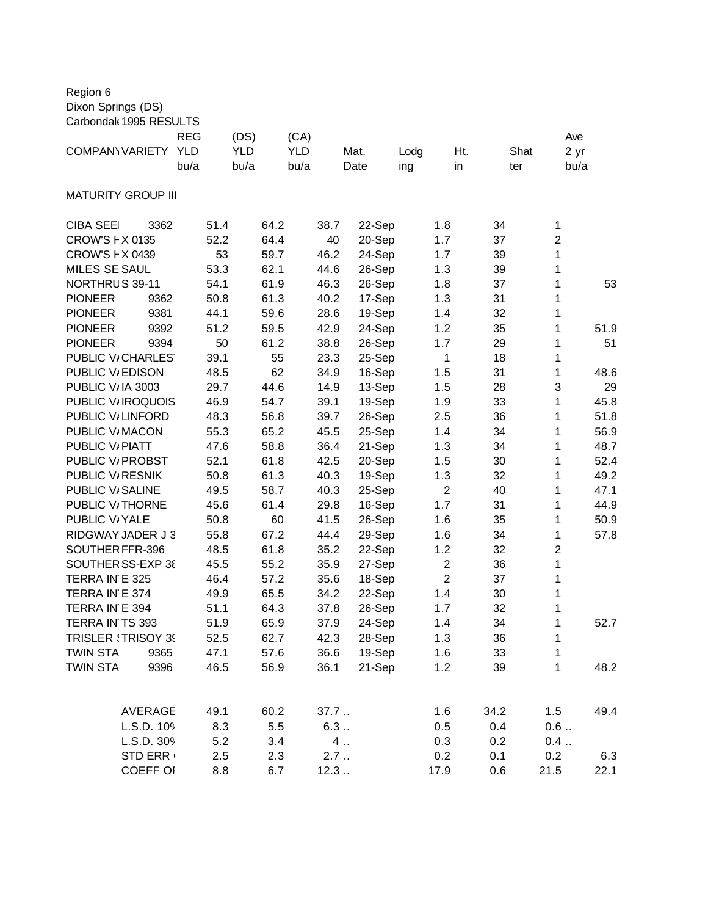| Region 6<br>Dixon Springs (DS)<br>Carbondal 1995 RESULTS |                                  |                                                          |              |                  |                                  |           |                |                     |
|----------------------------------------------------------|----------------------------------|----------------------------------------------------------|--------------|------------------|----------------------------------|-----------|----------------|---------------------|
| <b>COMPANY VARIETY</b>                                   | <b>REG</b><br><b>YLD</b><br>bu/a | (DS)<br>(CA)<br><b>YLD</b><br><b>YLD</b><br>bu/a<br>bu/a |              | Mat.<br>Date     | Lodg<br>ing                      | Ht.<br>in | Shat<br>ter    | Ave<br>2 yr<br>bu/a |
| <b>MATURITY GROUP III</b>                                |                                  |                                                          |              |                  |                                  |           |                |                     |
| <b>CIBA SEE</b><br>3362                                  | 51.4                             | 64.2                                                     | 38.7         | 22-Sep           | 1.8                              | 34        | $\mathbf{1}$   |                     |
| CROW'S F X 0135                                          | 52.2                             | 64.4                                                     | 40           | 20-Sep           | 1.7                              | 37        | $\overline{2}$ |                     |
| CROW'S F X 0439                                          | 53                               | 59.7                                                     | 46.2         | 24-Sep           | 1.7                              | 39        | $\mathbf{1}$   |                     |
| <b>MILES SE SAUL</b>                                     | 53.3                             | 62.1                                                     | 44.6         | 26-Sep           | 1.3                              | 39        | 1              |                     |
| NORTHRUS 39-11                                           | 54.1                             | 61.9                                                     | 46.3         | 26-Sep           | 1.8                              | 37        | 1              | 53                  |
| <b>PIONEER</b><br>9362                                   | 50.8                             | 61.3                                                     | 40.2         | 17-Sep           | 1.3                              | 31        | 1              |                     |
| 9381<br><b>PIONEER</b>                                   | 44.1                             | 59.6                                                     | 28.6         | 19-Sep           | 1.4                              | 32        | 1              |                     |
| <b>PIONEER</b><br>9392                                   | 51.2                             | 59.5                                                     | 42.9         | 24-Sep           | 1.2                              | 35        | 1              | 51.9                |
| <b>PIONEER</b><br>9394<br>PUBLIC V/CHARLES               | 50<br>39.1                       | 61.2<br>55                                               | 38.8<br>23.3 | 26-Sep<br>25-Sep | 1.7<br>1                         | 29<br>18  | 1<br>1         | 51                  |
| PUBLIC V/EDISON                                          | 48.5                             | 62                                                       | 34.9         | 16-Sep           | 1.5                              | 31        | $\mathbf{1}$   | 48.6                |
| PUBLIC V/IA 3003                                         | 29.7                             | 44.6                                                     | 14.9         | 13-Sep           | 1.5                              | 28        | 3              | 29                  |
| PUBLIC V/IROQUOIS                                        | 46.9                             | 54.7                                                     | 39.1         | 19-Sep           | 1.9                              | 33        | 1              | 45.8                |
| PUBLIC V/LINFORD                                         | 48.3                             | 56.8                                                     | 39.7         | 26-Sep           | 2.5                              | 36        | 1              | 51.8                |
| PUBLIC V/MACON                                           | 55.3                             | 65.2                                                     | 45.5         | 25-Sep           | 1.4                              | 34        | 1              | 56.9                |
| PUBLIC V/PIATT                                           | 47.6                             | 58.8                                                     | 36.4         | 21-Sep           | 1.3                              | 34        | 1              | 48.7                |
| PUBLIC V <sub>/</sub> PROBST                             | 52.1                             | 61.8                                                     | 42.5         | 20-Sep           | 1.5                              | 30        | 1              | 52.4                |
| PUBLIC V/RESNIK                                          | 50.8                             | 61.3                                                     | 40.3         | 19-Sep           | 1.3                              | 32        | 1              | 49.2                |
| PUBLIC V/SALINE                                          | 49.5                             | 58.7                                                     | 40.3         | 25-Sep           | $\overline{2}$                   | 40        | 1              | 47.1                |
| PUBLIC V/THORNE                                          | 45.6                             | 61.4                                                     | 29.8         | 16-Sep           | 1.7                              | 31        | 1              | 44.9                |
| PUBLIC V/YALE                                            | 50.8                             | 60                                                       | 41.5         | 26-Sep           | 1.6                              | 35        | 1              | 50.9                |
| RIDGWAY JADER J 3                                        | 55.8                             | 67.2                                                     | 44.4         | 29-Sep           | 1.6                              | 34        | 1              | 57.8                |
| SOUTHER FFR-396                                          | 48.5                             | 61.8                                                     | 35.2         | 22-Sep           | 1.2                              | 32        | $\overline{2}$ |                     |
| SOUTHER SS-EXP 38<br>TERRA IN E 325                      | 45.5<br>46.4                     | 55.2<br>57.2                                             | 35.9<br>35.6 | 27-Sep<br>18-Sep | $\overline{2}$<br>$\overline{2}$ | 36<br>37  | 1<br>1         |                     |
| TERRA IN E 374                                           | 49.9                             | 65.5                                                     | 34.2         | 22-Sep           | 1.4                              | 30        | 1              |                     |
| TERRA IN E 394                                           | 51.1                             | 64.3                                                     | 37.8         | 26-Sep           | 1.7                              | 32        | 1              |                     |
| TERRA IN TS 393                                          | 51.9                             | 65.9                                                     | 37.9         | 24-Sep           | 1.4                              | 34        | 1              | 52.7                |
| <b>TRISLER : TRISOY 39</b>                               | 52.5                             | 62.7                                                     | 42.3         | 28-Sep           | 1.3                              | 36        | 1              |                     |
| <b>TWIN STA</b><br>9365                                  | 47.1                             | 57.6                                                     | 36.6         | 19-Sep           | 1.6                              | 33        | 1              |                     |
| <b>TWIN STA</b><br>9396                                  | 46.5                             | 56.9                                                     | 36.1         | 21-Sep           | 1.2                              | 39        | $\mathbf{1}$   | 48.2                |
| <b>AVERAGE</b>                                           | 49.1                             | 60.2                                                     | 37.7         |                  | 1.6                              | 34.2      | 1.5            | 49.4                |
| L.S.D. 109                                               | 8.3                              | 5.5                                                      | 6.3          |                  | 0.5                              | 0.4       | 0.6            |                     |
| L.S.D. 309                                               | 5.2                              | 3.4                                                      | 4.           |                  | 0.3                              | 0.2       | 0.4            |                     |
| <b>STD ERR</b>                                           | 2.5                              | 2.3                                                      | 2.7          |                  | 0.2                              | 0.1       | 0.2            | 6.3                 |
| <b>COEFF OI</b>                                          | 8.8                              | 6.7                                                      | 12.3         |                  | 17.9                             | 0.6       | 21.5           | 22.1                |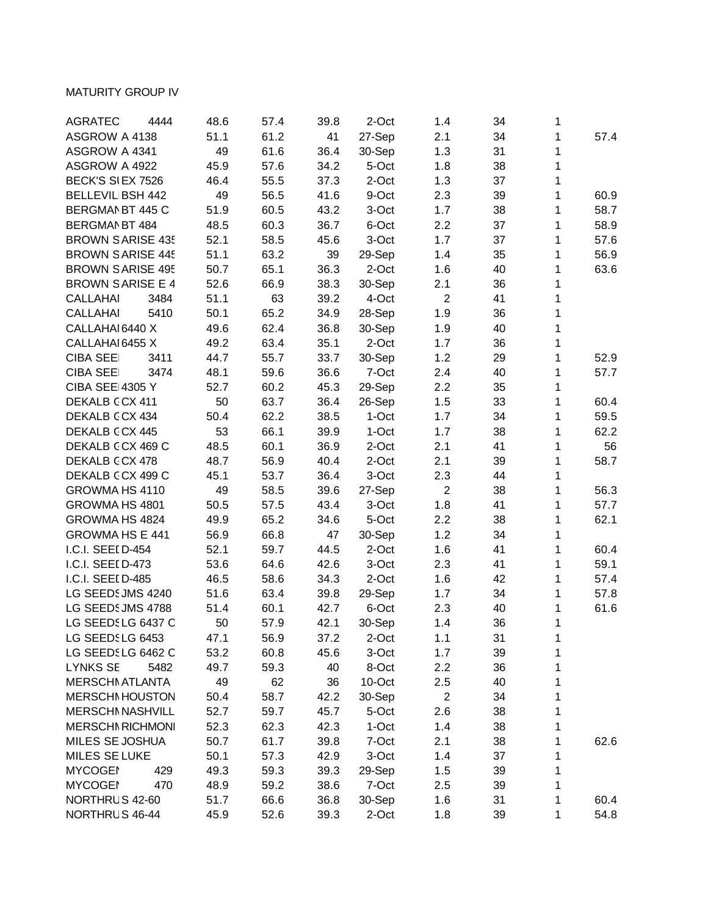## MATURITY GROUP IV

| <b>AGRATEC</b><br>4444  | 48.6 | 57.4 | 39.8 | 2-Oct  | 1.4            | 34 | 1 |      |
|-------------------------|------|------|------|--------|----------------|----|---|------|
| ASGROW A 4138           | 51.1 | 61.2 | 41   | 27-Sep | 2.1            | 34 | 1 | 57.4 |
| ASGROW A 4341           | 49   | 61.6 | 36.4 | 30-Sep | 1.3            | 31 | 1 |      |
| ASGROW A 4922           | 45.9 | 57.6 | 34.2 | 5-Oct  | 1.8            | 38 | 1 |      |
| BECK'S SIEX 7526        | 46.4 | 55.5 | 37.3 | 2-Oct  | 1.3            | 37 | 1 |      |
| <b>BELLEVIL BSH 442</b> | 49   | 56.5 | 41.6 | 9-Oct  | 2.3            | 39 | 1 | 60.9 |
| BERGMAN BT 445 C        | 51.9 | 60.5 | 43.2 | 3-Oct  | 1.7            | 38 | 1 | 58.7 |
| BERGMAN BT 484          | 48.5 | 60.3 | 36.7 | 6-Oct  | 2.2            | 37 | 1 | 58.9 |
| <b>BROWN SARISE 435</b> | 52.1 | 58.5 | 45.6 | 3-Oct  | 1.7            | 37 | 1 | 57.6 |
| <b>BROWN SARISE 445</b> | 51.1 | 63.2 | 39   | 29-Sep | 1.4            | 35 | 1 | 56.9 |
| <b>BROWN SARISE 495</b> | 50.7 | 65.1 | 36.3 | 2-Oct  | 1.6            | 40 | 1 | 63.6 |
| <b>BROWN SARISE E 4</b> | 52.6 | 66.9 | 38.3 | 30-Sep | 2.1            | 36 | 1 |      |
| <b>CALLAHAI</b><br>3484 | 51.1 | 63   | 39.2 | 4-Oct  | $\overline{2}$ | 41 | 1 |      |
| 5410<br><b>CALLAHAI</b> | 50.1 | 65.2 | 34.9 | 28-Sep | 1.9            | 36 | 1 |      |
| CALLAHAI 6440 X         | 49.6 | 62.4 | 36.8 | 30-Sep | 1.9            | 40 | 1 |      |
| CALLAHAI 6455 X         | 49.2 | 63.4 | 35.1 | 2-Oct  | 1.7            | 36 | 1 |      |
| <b>CIBA SEE</b><br>3411 | 44.7 | 55.7 | 33.7 | 30-Sep | 1.2            | 29 | 1 | 52.9 |
| <b>CIBA SEE</b><br>3474 | 48.1 | 59.6 | 36.6 | 7-Oct  | 2.4            | 40 | 1 | 57.7 |
| <b>CIBA SEE 4305 Y</b>  | 52.7 | 60.2 | 45.3 | 29-Sep | 2.2            | 35 | 1 |      |
| DEKALB CCX 411          | 50   | 63.7 | 36.4 | 26-Sep | 1.5            | 33 | 1 | 60.4 |
| DEKALB CCX 434          | 50.4 | 62.2 | 38.5 | 1-Oct  | 1.7            | 34 | 1 | 59.5 |
| DEKALB CCX 445          | 53   | 66.1 | 39.9 | 1-Oct  | 1.7            | 38 | 1 | 62.2 |
| DEKALB CCX 469 C        | 48.5 | 60.1 | 36.9 | 2-Oct  | 2.1            | 41 | 1 | 56   |
| DEKALB CCX 478          | 48.7 | 56.9 | 40.4 | 2-Oct  | 2.1            | 39 | 1 | 58.7 |
| DEKALB CCX 499 C        | 45.1 | 53.7 | 36.4 | 3-Oct  | 2.3            | 44 | 1 |      |
| GROWMA HS 4110          | 49   | 58.5 | 39.6 | 27-Sep | $\overline{2}$ | 38 | 1 | 56.3 |
| GROWMA HS 4801          | 50.5 | 57.5 | 43.4 | 3-Oct  | 1.8            | 41 | 1 | 57.7 |
| GROWMA HS 4824          | 49.9 | 65.2 | 34.6 | 5-Oct  | 2.2            | 38 | 1 | 62.1 |
| <b>GROWMA HS E 441</b>  | 56.9 | 66.8 | 47   | 30-Sep | 1.2            | 34 | 1 |      |
| I.C.I. SEEI D-454       | 52.1 | 59.7 | 44.5 | 2-Oct  | 1.6            | 41 | 1 | 60.4 |
| I.C.I. SEEI D-473       | 53.6 | 64.6 | 42.6 | 3-Oct  | 2.3            | 41 | 1 | 59.1 |
| I.C.I. SEEI D-485       | 46.5 | 58.6 | 34.3 | 2-Oct  | 1.6            | 42 | 1 | 57.4 |
| LG SEEDS JMS 4240       | 51.6 | 63.4 | 39.8 | 29-Sep | 1.7            | 34 | 1 | 57.8 |
| LG SEEDS JMS 4788       | 51.4 | 60.1 | 42.7 | 6-Oct  | 2.3            | 40 | 1 | 61.6 |
| LG SEEDSLG 6437 C       | 50   | 57.9 | 42.1 | 30-Sep | 1.4            | 36 | 1 |      |
| LG SEEDSLG 6453         | 47.1 | 56.9 | 37.2 | 2-Oct  | 1.1            | 31 | 1 |      |
| LG SEEDSLG 6462 C       | 53.2 | 60.8 | 45.6 | 3-Oct  | 1.7            | 39 | 1 |      |
| <b>LYNKS SE</b><br>5482 | 49.7 | 59.3 | 40   | 8-Oct  | 2.2            | 36 | 1 |      |
| <b>MERSCHI ATLANTA</b>  | 49   | 62   | 36   | 10-Oct | 2.5            | 40 | 1 |      |
| <b>MERSCHI HOUSTON</b>  | 50.4 | 58.7 | 42.2 | 30-Sep | $\overline{2}$ | 34 | 1 |      |
| <b>MERSCHI NASHVILL</b> | 52.7 | 59.7 | 45.7 | 5-Oct  | 2.6            | 38 | 1 |      |
| <b>MERSCHI RICHMONI</b> | 52.3 | 62.3 | 42.3 | 1-Oct  | 1.4            | 38 | 1 |      |
| MILES SE JOSHUA         | 50.7 | 61.7 | 39.8 | 7-Oct  | 2.1            | 38 | 1 | 62.6 |
| MILES SE LUKE           | 50.1 | 57.3 | 42.9 | 3-Oct  | 1.4            | 37 | 1 |      |
| <b>MYCOGEI</b><br>429   | 49.3 | 59.3 | 39.3 | 29-Sep | 1.5            | 39 | 1 |      |
| <b>MYCOGEI</b><br>470   | 48.9 | 59.2 | 38.6 | 7-Oct  | 2.5            | 39 | 1 |      |
| NORTHRUS 42-60          | 51.7 | 66.6 | 36.8 | 30-Sep | 1.6            | 31 | 1 | 60.4 |
| NORTHRUS 46-44          | 45.9 | 52.6 | 39.3 | 2-Oct  | 1.8            | 39 | 1 | 54.8 |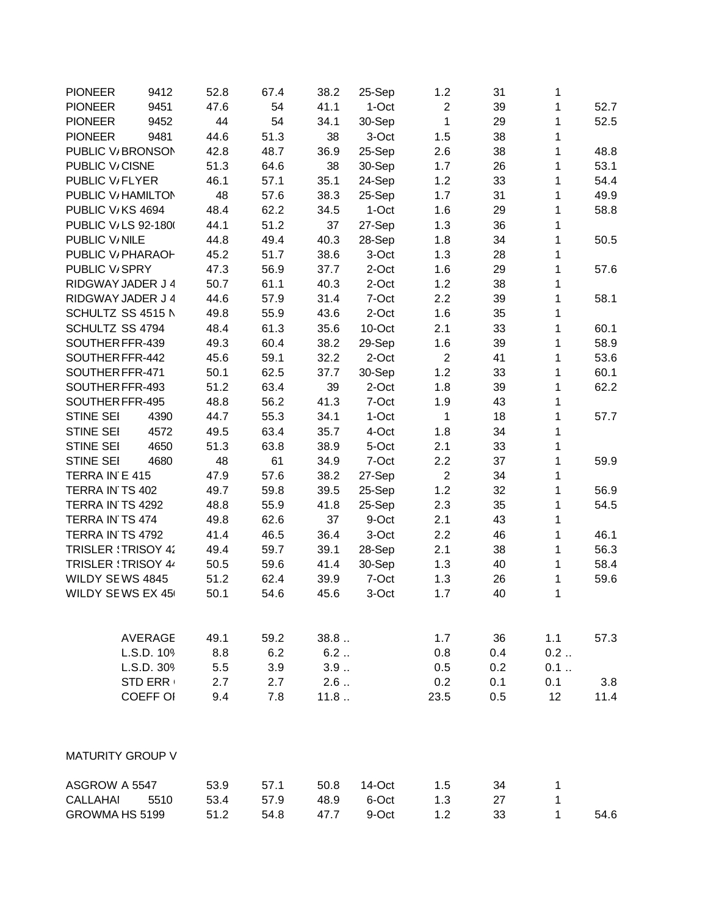| <b>PIONEER</b>             | 9412            | 52.8 | 67.4 | 38.2 | 25-Sep | 1.2            | 31  | 1            |      |
|----------------------------|-----------------|------|------|------|--------|----------------|-----|--------------|------|
| <b>PIONEER</b>             | 9451            | 47.6 | 54   | 41.1 | 1-Oct  | $\overline{2}$ | 39  | 1            | 52.7 |
| <b>PIONEER</b>             | 9452            | 44   | 54   | 34.1 | 30-Sep | 1              | 29  | 1            | 52.5 |
| <b>PIONEER</b>             | 9481            | 44.6 | 51.3 | 38   | 3-Oct  | 1.5            | 38  | 1            |      |
| PUBLIC V/BRONSON           |                 | 42.8 | 48.7 | 36.9 | 25-Sep | 2.6            | 38  | 1            | 48.8 |
| PUBLIC V/CISNE             |                 | 51.3 | 64.6 | 38   | 30-Sep | 1.7            | 26  | 1            | 53.1 |
| PUBLIC V <sub>/FLYER</sub> |                 | 46.1 | 57.1 | 35.1 | 24-Sep | 1.2            | 33  | 1            | 54.4 |
| PUBLIC V/ HAMILTON         |                 | 48   | 57.6 | 38.3 | 25-Sep | 1.7            | 31  | 1            | 49.9 |
| PUBLIC V/KS 4694           |                 | 48.4 | 62.2 | 34.5 | 1-Oct  | 1.6            | 29  | 1            | 58.8 |
| PUBLIC V/LS 92-1800        |                 | 44.1 | 51.2 | 37   | 27-Sep | 1.3            | 36  | 1            |      |
| PUBLIC V/NILE              |                 | 44.8 | 49.4 | 40.3 | 28-Sep | 1.8            | 34  | 1            | 50.5 |
| PUBLIC V/ PHARAOH          |                 | 45.2 | 51.7 | 38.6 | 3-Oct  | 1.3            | 28  | 1            |      |
| PUBLIC V <sub>i</sub> SPRY |                 | 47.3 | 56.9 | 37.7 | 2-Oct  | 1.6            | 29  | 1            | 57.6 |
| RIDGWAY JADER J 4          |                 | 50.7 | 61.1 | 40.3 | 2-Oct  | 1.2            | 38  | 1            |      |
| RIDGWAY JADER J 4          |                 | 44.6 | 57.9 | 31.4 | 7-Oct  | 2.2            | 39  | 1            | 58.1 |
| SCHULTZ SS 4515 N          |                 | 49.8 | 55.9 | 43.6 | 2-Oct  | 1.6            | 35  | 1            |      |
| SCHULTZ SS 4794            |                 | 48.4 | 61.3 | 35.6 | 10-Oct | 2.1            | 33  | 1            | 60.1 |
| SOUTHER FFR-439            |                 | 49.3 | 60.4 | 38.2 | 29-Sep | 1.6            | 39  | 1            | 58.9 |
| SOUTHER FFR-442            |                 | 45.6 | 59.1 | 32.2 | 2-Oct  | $\overline{2}$ | 41  | 1            | 53.6 |
| SOUTHER FFR-471            |                 | 50.1 | 62.5 | 37.7 | 30-Sep | 1.2            | 33  | 1            | 60.1 |
| SOUTHER FFR-493            |                 | 51.2 | 63.4 | 39   | 2-Oct  | 1.8            | 39  | 1            | 62.2 |
| SOUTHER FFR-495            |                 | 48.8 | 56.2 | 41.3 | 7-Oct  | 1.9            | 43  | 1            |      |
| <b>STINE SEI</b>           | 4390            | 44.7 | 55.3 | 34.1 | 1-Oct  | 1              | 18  | 1            | 57.7 |
| <b>STINE SEI</b>           | 4572            | 49.5 | 63.4 | 35.7 | 4-Oct  | 1.8            | 34  | 1            |      |
| <b>STINE SEI</b>           | 4650            | 51.3 | 63.8 | 38.9 | 5-Oct  | 2.1            | 33  | 1            |      |
| <b>STINE SEI</b>           | 4680            | 48   | 61   | 34.9 | 7-Oct  | 2.2            | 37  | 1            | 59.9 |
| TERRA IN E 415             |                 | 47.9 | 57.6 | 38.2 | 27-Sep | $\overline{2}$ | 34  | 1            |      |
| TERRA IN TS 402            |                 | 49.7 | 59.8 | 39.5 | 25-Sep | 1.2            | 32  | 1            | 56.9 |
| TERRA IN TS 4292           |                 | 48.8 | 55.9 | 41.8 | 25-Sep | 2.3            | 35  | 1            | 54.5 |
| TERRA IN TS 474            |                 | 49.8 | 62.6 | 37   | 9-Oct  | 2.1            | 43  | 1            |      |
| TERRA IN TS 4792           |                 | 41.4 | 46.5 | 36.4 | 3-Oct  | 2.2            | 46  | 1            | 46.1 |
| <b>TRISLER : TRISOY 42</b> |                 | 49.4 | 59.7 | 39.1 | 28-Sep | 2.1            | 38  | 1            | 56.3 |
| TRISLER \TRISOY 44         |                 | 50.5 | 59.6 | 41.4 | 30-Sep | 1.3            | 40  | 1            | 58.4 |
| WILDY SEWS 4845            |                 | 51.2 | 62.4 | 39.9 | 7-Oct  | 1.3            | 26  | 1            | 59.6 |
| WILDY SEWS EX 45           |                 | 50.1 | 54.6 | 45.6 | 3-Oct  | 1.7            | 40  | 1            |      |
|                            |                 |      |      |      |        |                |     |              |      |
|                            | <b>AVERAGE</b>  | 49.1 | 59.2 | 38.8 |        | 1.7            | 36  | 1.1          | 57.3 |
|                            | L.S.D. 109      | 8.8  | 6.2  | 6.2  |        | 0.8            | 0.4 | 0.2          |      |
|                            | L.S.D. 309      | 5.5  | 3.9  | 3.9  |        | 0.5            | 0.2 | 0.1          |      |
|                            | <b>STD ERR</b>  | 2.7  | 2.7  | 2.6  |        | 0.2            | 0.1 | 0.1          | 3.8  |
|                            | <b>COEFF OI</b> | 9.4  | 7.8  | 11.8 |        | 23.5           | 0.5 | 12           | 11.4 |
|                            |                 |      |      |      |        |                |     |              |      |
| <b>MATURITY GROUP V</b>    |                 |      |      |      |        |                |     |              |      |
| ASGROW A 5547              |                 | 53.9 | 57.1 | 50.8 | 14-Oct | 1.5            | 34  | 1            |      |
| <b>CALLAHAI</b>            | 5510            | 53.4 | 57.9 | 48.9 | 6-Oct  | 1.3            | 27  | 1            |      |
| GROWMA HS 5199             |                 | 51.2 | 54.8 | 47.7 | 9-Oct  | 1.2            | 33  | $\mathbf{1}$ | 54.6 |
|                            |                 |      |      |      |        |                |     |              |      |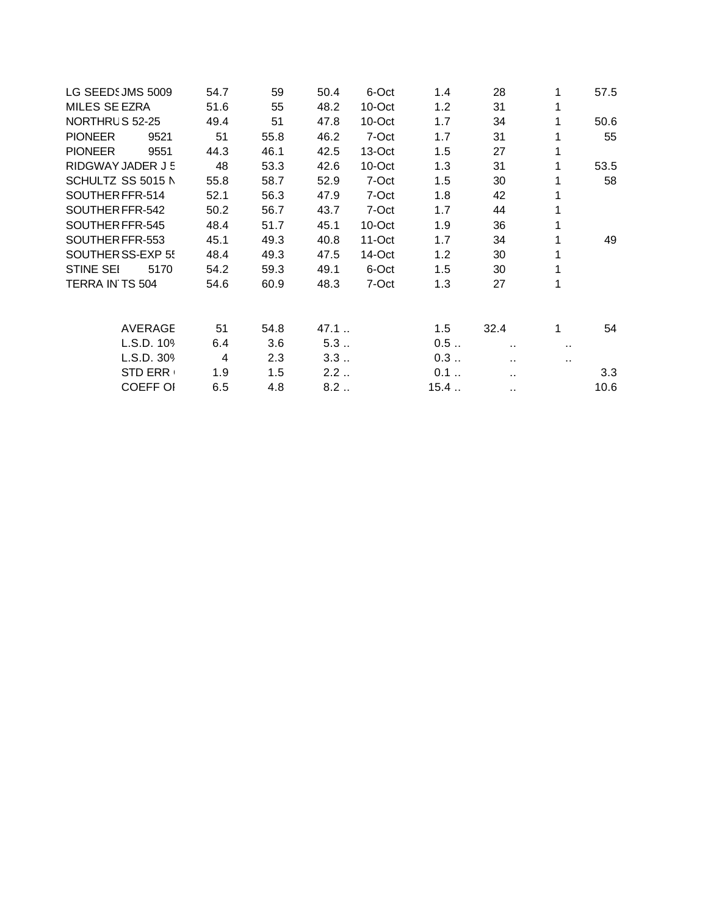| LG SEEDSJMS 5009       | 54.7 | 59   | 50.4 | 6-Oct     | 1.4  | 28                             | 1      | 57.5 |
|------------------------|------|------|------|-----------|------|--------------------------------|--------|------|
| MILES SE EZRA          | 51.6 | 55   | 48.2 | 10-Oct    | 1.2  | 31                             | 1      |      |
| NORTHRUS 52-25         | 49.4 | 51   | 47.8 | $10$ -Oct | 1.7  | 34                             | 1      | 50.6 |
| <b>PIONEER</b><br>9521 | 51   | 55.8 | 46.2 | 7-Oct     | 1.7  | 31                             | 1      | 55   |
| <b>PIONEER</b><br>9551 | 44.3 | 46.1 | 42.5 | 13-Oct    | 1.5  | 27                             | 1      |      |
| RIDGWAY JADER J 5      | 48   | 53.3 | 42.6 | 10-Oct    | 1.3  | 31                             | 1      | 53.5 |
| SCHULTZ SS 5015 N      | 55.8 | 58.7 | 52.9 | 7-Oct     | 1.5  | 30                             | 1      | 58   |
| SOUTHER FFR-514        | 52.1 | 56.3 | 47.9 | 7-Oct     | 1.8  | 42                             | 1      |      |
| SOUTHER FFR-542        | 50.2 | 56.7 | 43.7 | 7-Oct     | 1.7  | 44                             | 1      |      |
| SOUTHER FFR-545        | 48.4 | 51.7 | 45.1 | 10-Oct    | 1.9  | 36                             | 1      |      |
| SOUTHER FFR-553        | 45.1 | 49.3 | 40.8 | $11-Oct$  | 1.7  | 34                             | 1      | 49   |
| SOUTHER SS-EXP 55      | 48.4 | 49.3 | 47.5 | 14-Oct    | 1.2  | 30                             | 1      |      |
| STINE SEI<br>5170      | 54.2 | 59.3 | 49.1 | 6-Oct     | 1.5  | 30                             | 1      |      |
| TERRA IN TS 504        | 54.6 | 60.9 | 48.3 | 7-Oct     | 1.3  | 27                             | 1      |      |
| <b>AVERAGE</b>         | 51   | 54.8 | 47.1 |           | 1.5  | 32.4                           | 1      | 54   |
| L.S.D. 109             | 6.4  | 3.6  | 5.3  |           | 0.5  |                                |        |      |
| L.S.D. 309             | 4    | 2.3  | 3.3  |           | 0.3  | $\sim$<br>$\ddot{\phantom{a}}$ | <br>н. |      |
| <b>STD ERR</b>         | 1.9  | 1.5  | 2.2  |           | 0.1  |                                |        | 3.3  |
| <b>COEFF OI</b>        | 6.5  | 4.8  | 8.2  |           | 15.4 | $\sim$                         |        | 10.6 |
|                        |      |      |      |           |      |                                |        |      |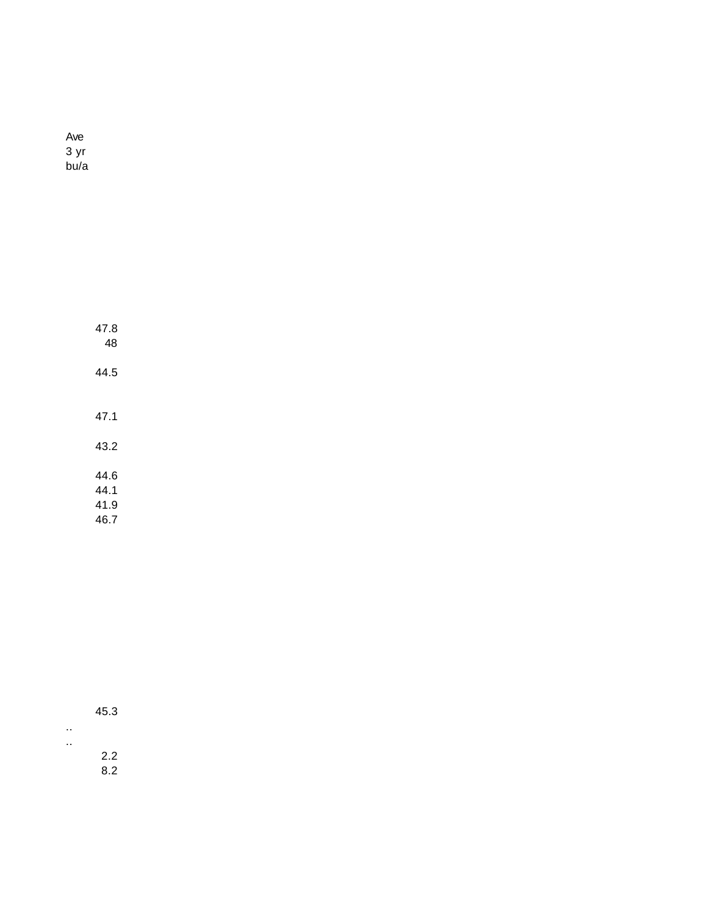Ave 3 yr bu/a

| 47.8<br>48 |  |
|------------|--|
| 44.5       |  |
|            |  |
| 47.1       |  |
| 43.2       |  |
| 44.6       |  |
| 44.1       |  |
| 41.9       |  |
| 46.7       |  |

| 45.3 |  |
|------|--|
|      |  |
| 2.2  |  |

.. ..

8.2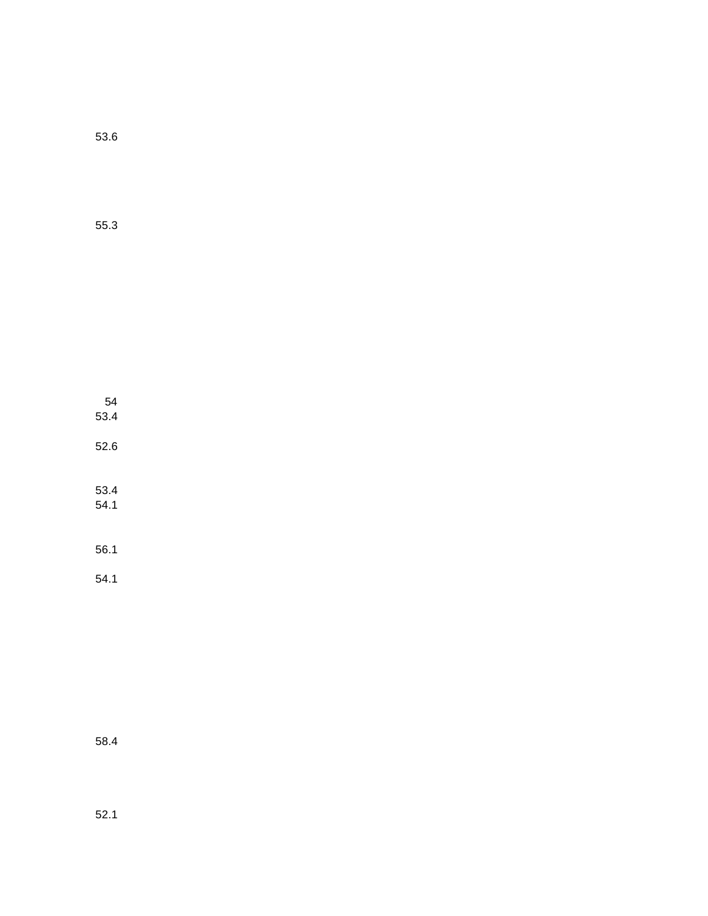53.6

55.3

54 53.4 52.6 53.4 54.1 56.1

54.1

58.4

52.1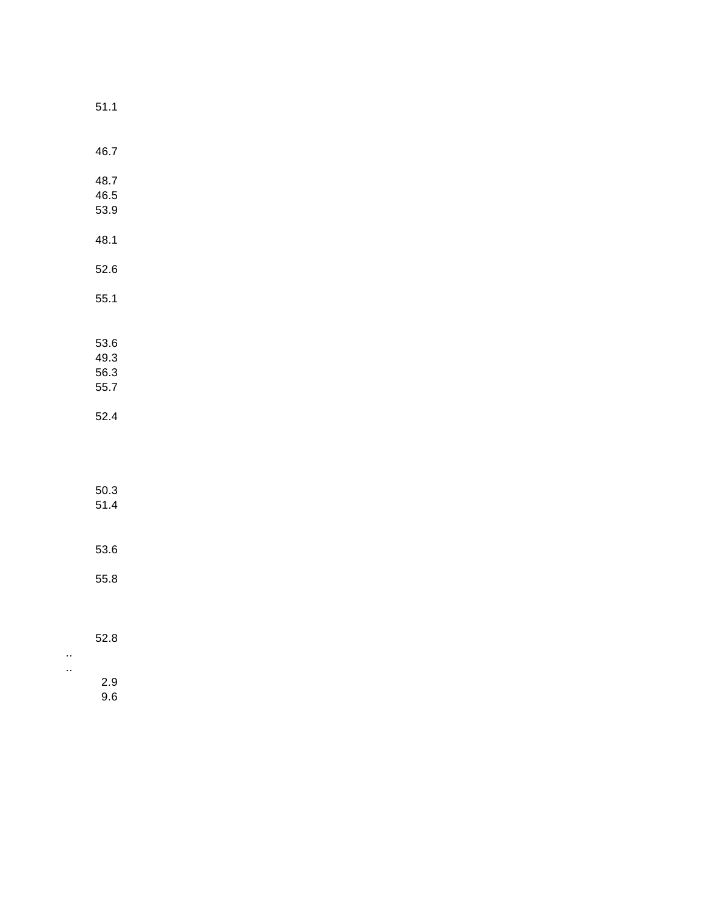| I<br>×<br>۰. |  |  |
|--------------|--|--|
|              |  |  |
|              |  |  |

|                      | 46.7 |  |  |  |
|----------------------|------|--|--|--|
|                      |      |  |  |  |
|                      | 48.7 |  |  |  |
|                      | 46.5 |  |  |  |
|                      | 53.9 |  |  |  |
|                      |      |  |  |  |
|                      | 48.1 |  |  |  |
|                      |      |  |  |  |
|                      | 52.6 |  |  |  |
|                      |      |  |  |  |
|                      | 55.1 |  |  |  |
|                      |      |  |  |  |
|                      |      |  |  |  |
|                      | 53.6 |  |  |  |
|                      | 49.3 |  |  |  |
|                      | 56.3 |  |  |  |
|                      | 55.7 |  |  |  |
|                      |      |  |  |  |
|                      | 52.4 |  |  |  |
|                      |      |  |  |  |
|                      |      |  |  |  |
|                      |      |  |  |  |
|                      |      |  |  |  |
|                      | 50.3 |  |  |  |
|                      | 51.4 |  |  |  |
|                      |      |  |  |  |
|                      |      |  |  |  |
|                      | 53.6 |  |  |  |
|                      |      |  |  |  |
|                      | 55.8 |  |  |  |
|                      |      |  |  |  |
|                      |      |  |  |  |
|                      | 52.8 |  |  |  |
|                      |      |  |  |  |
| $\ddot{\phantom{1}}$ |      |  |  |  |
| $\ddot{\phantom{1}}$ | 2.9  |  |  |  |
|                      | 9.6  |  |  |  |
|                      |      |  |  |  |